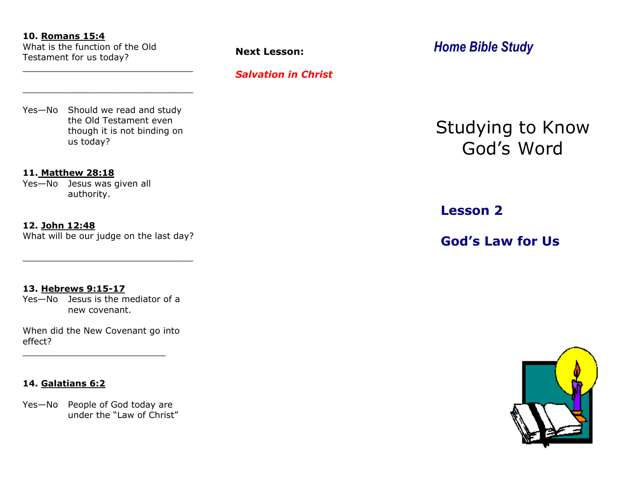#### **10. Romans 15:4**

What is the function of the Old Testament for us today?

# *Salvation in Christ*

Yes—No Should we read and study the Old Testament even though it is not binding on us today?

\_\_\_\_\_\_\_\_\_\_\_\_\_\_\_\_\_\_\_\_\_\_\_\_\_\_\_\_\_\_\_

\_\_\_\_\_\_\_\_\_\_\_\_\_\_\_\_\_\_\_\_\_\_\_\_\_\_\_\_\_\_\_

#### **11. Matthew 28:18**

Yes—No Jesus was given all authority.

#### **12. John 12:48**

What will be our judge on the last day?

\_\_\_\_\_\_\_\_\_\_\_\_\_\_\_\_\_\_\_\_\_\_\_\_\_\_\_\_\_\_\_

### **13. Hebrews 9:15-17**

Yes—No Jesus is the mediator of a new covenant.

When did the New Covenant go into effect?

\_\_\_\_\_\_\_\_\_\_\_\_\_\_\_\_\_\_\_\_\_\_\_\_\_\_

# **14. Galatians 6:2**

Yes-No People of God today are under the "Law of Christ"

# **Next Lesson:** *Home Bible Study*

Studying to Know God's Word

**Lesson 2**

**God's Law for Us**